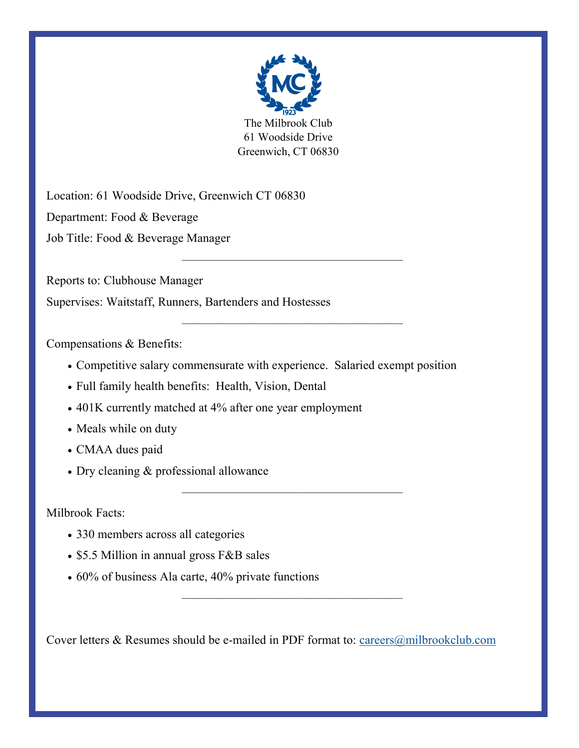

The Milbrook Club 61 Woodside Drive Greenwich, CT 06830

——————————————————

——————————————————

——————————————————

——————————————————

Location: 61 Woodside Drive, Greenwich CT 06830 Department: Food & Beverage Job Title: Food & Beverage Manager

Reports to: Clubhouse Manager

Supervises: Waitstaff, Runners, Bartenders and Hostesses

Compensations & Benefits:

- Competitive salary commensurate with experience. Salaried exempt position
- Full family health benefits: Health, Vision, Dental
- 401K currently matched at 4% after one year employment
- Meals while on duty
- CMAA dues paid
- Dry cleaning & professional allowance

Milbrook Facts:

- 330 members across all categories
- \$5.5 Million in annual gross F&B sales
- 60% of business Ala carte, 40% private functions

Cover letters & Resumes should be e-mailed in PDF format to: [careers@milbrookclub.com](mailto:careers@milbrookclub.com?subject=Food%20and%20Beverage%20Manager%20Position)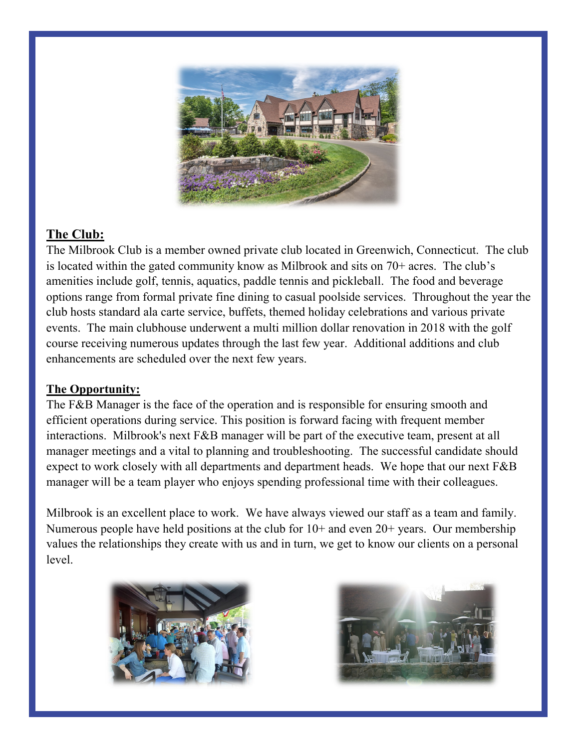

# **The Club:**

The Milbrook Club is a member owned private club located in Greenwich, Connecticut. The club is located within the gated community know as Milbrook and sits on 70+ acres. The club's amenities include golf, tennis, aquatics, paddle tennis and pickleball. The food and beverage options range from formal private fine dining to casual poolside services. Throughout the year the club hosts standard ala carte service, buffets, themed holiday celebrations and various private events. The main clubhouse underwent a multi million dollar renovation in 2018 with the golf course receiving numerous updates through the last few year. Additional additions and club enhancements are scheduled over the next few years.

### **The Opportunity:**

The F&B Manager is the face of the operation and is responsible for ensuring smooth and efficient operations during service. This position is forward facing with frequent member interactions. Milbrook's next F&B manager will be part of the executive team, present at all manager meetings and a vital to planning and troubleshooting. The successful candidate should expect to work closely with all departments and department heads. We hope that our next F&B manager will be a team player who enjoys spending professional time with their colleagues.

Milbrook is an excellent place to work. We have always viewed our staff as a team and family. Numerous people have held positions at the club for 10+ and even 20+ years. Our membership values the relationships they create with us and in turn, we get to know our clients on a personal level.



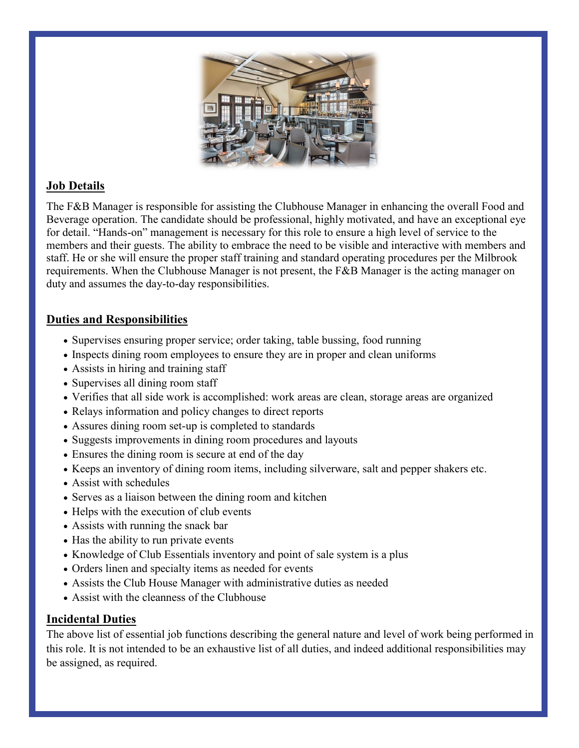

## **Job Details**

The F&B Manager is responsible for assisting the Clubhouse Manager in enhancing the overall Food and Beverage operation. The candidate should be professional, highly motivated, and have an exceptional eye for detail. "Hands-on" management is necessary for this role to ensure a high level of service to the members and their guests. The ability to embrace the need to be visible and interactive with members and staff. He or she will ensure the proper staff training and standard operating procedures per the Milbrook requirements. When the Clubhouse Manager is not present, the F&B Manager is the acting manager on duty and assumes the day-to-day responsibilities.

### **Duties and Responsibilities**

- Supervises ensuring proper service; order taking, table bussing, food running
- Inspects dining room employees to ensure they are in proper and clean uniforms
- Assists in hiring and training staff
- Supervises all dining room staff
- Verifies that all side work is accomplished: work areas are clean, storage areas are organized
- Relays information and policy changes to direct reports
- Assures dining room set-up is completed to standards
- Suggests improvements in dining room procedures and layouts
- Ensures the dining room is secure at end of the day
- Keeps an inventory of dining room items, including silverware, salt and pepper shakers etc.
- Assist with schedules
- Serves as a liaison between the dining room and kitchen
- Helps with the execution of club events
- Assists with running the snack bar
- Has the ability to run private events
- Knowledge of Club Essentials inventory and point of sale system is a plus
- Orders linen and specialty items as needed for events
- Assists the Club House Manager with administrative duties as needed
- Assist with the cleanness of the Clubhouse

### **Incidental Duties**

The above list of essential job functions describing the general nature and level of work being performed in this role. It is not intended to be an exhaustive list of all duties, and indeed additional responsibilities may be assigned, as required.